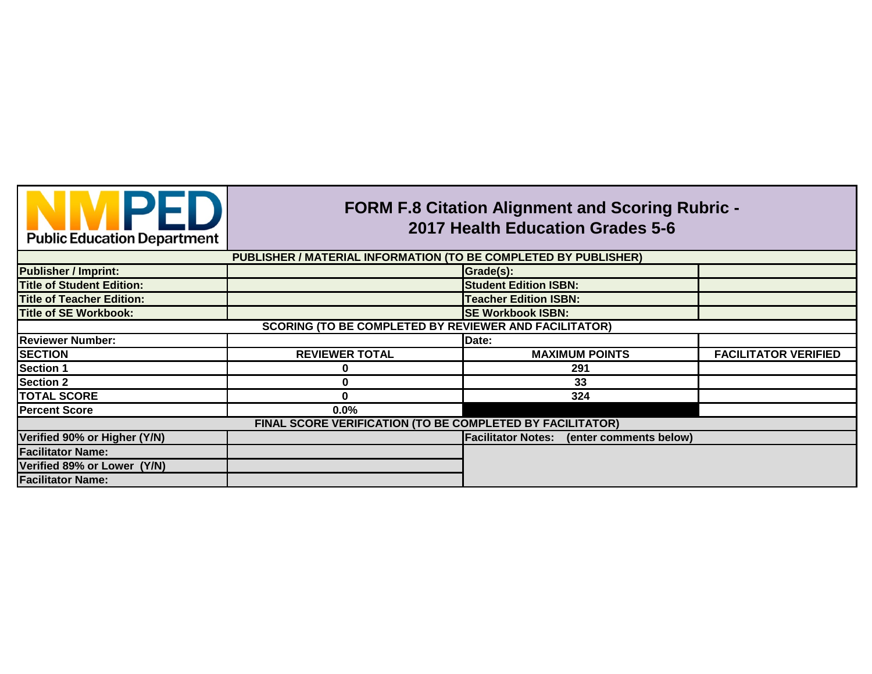

## **FORM F.8 Citation Alignment and Scoring Rubric - 2017 Health Education Grades 5-6**

| PUBLISHER / MATERIAL INFORMATION (TO BE COMPLETED BY PUBLISHER) |                                                              |                                                  |                             |  |
|-----------------------------------------------------------------|--------------------------------------------------------------|--------------------------------------------------|-----------------------------|--|
| <b>Publisher / Imprint:</b>                                     |                                                              | Grade(s):                                        |                             |  |
| <b>Title of Student Edition:</b>                                |                                                              | <b>Student Edition ISBN:</b>                     |                             |  |
| <b>Title of Teacher Edition:</b>                                |                                                              | <b>Teacher Edition ISBN:</b>                     |                             |  |
| <b>Title of SE Workbook:</b>                                    |                                                              | <b>SE Workbook ISBN:</b>                         |                             |  |
|                                                                 | <b>SCORING (TO BE COMPLETED BY REVIEWER AND FACILITATOR)</b> |                                                  |                             |  |
| <b>Reviewer Number:</b>                                         |                                                              | Date:                                            |                             |  |
| <b>SECTION</b>                                                  | <b>REVIEWER TOTAL</b>                                        | <b>MAXIMUM POINTS</b>                            | <b>FACILITATOR VERIFIED</b> |  |
| <b>Section 1</b>                                                |                                                              | 291                                              |                             |  |
| <b>Section 2</b>                                                |                                                              | 33                                               |                             |  |
| <b>TOTAL SCORE</b>                                              |                                                              | 324                                              |                             |  |
| <b>Percent Score</b>                                            | $0.0\%$                                                      |                                                  |                             |  |
|                                                                 | FINAL SCORE VERIFICATION (TO BE COMPLETED BY FACILITATOR)    |                                                  |                             |  |
| Verified 90% or Higher (Y/N)                                    |                                                              | <b>Facilitator Notes:</b> (enter comments below) |                             |  |
| <b>Facilitator Name:</b>                                        |                                                              |                                                  |                             |  |
| Verified 89% or Lower (Y/N)                                     |                                                              |                                                  |                             |  |
| <b>Facilitator Name:</b>                                        |                                                              |                                                  |                             |  |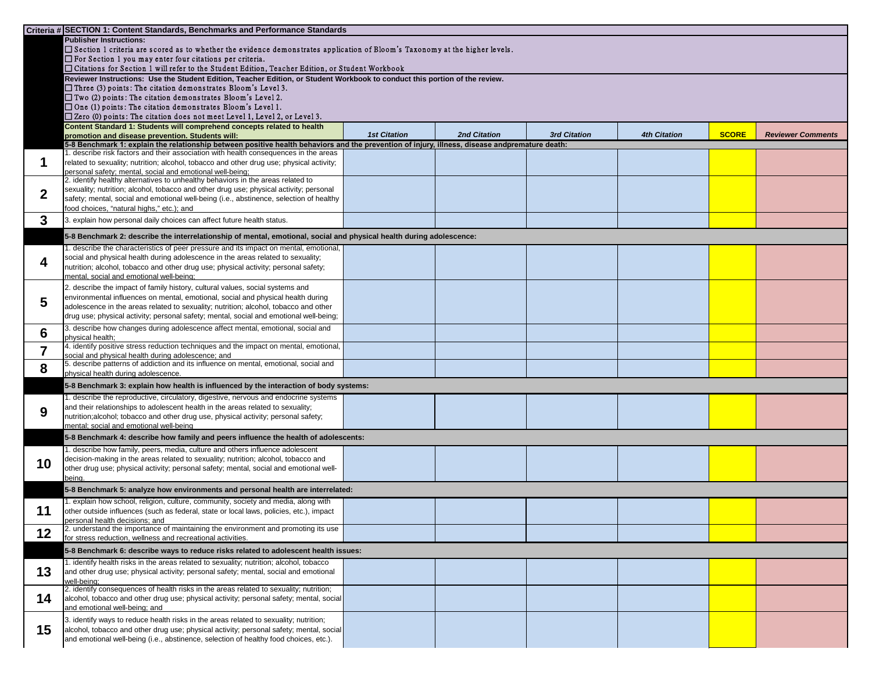|     | Criteria # SECTION 1: Content Standards, Benchmarks and Performance Standards                                                                                                                      |                     |                     |                     |                     |              |                          |
|-----|----------------------------------------------------------------------------------------------------------------------------------------------------------------------------------------------------|---------------------|---------------------|---------------------|---------------------|--------------|--------------------------|
|     | <b>Publisher Instructions:</b>                                                                                                                                                                     |                     |                     |                     |                     |              |                          |
|     | □ Section 1 criteria are scored as to whether the evidence demonstrates application of Bloom's Taxonomy at the higher levels.                                                                      |                     |                     |                     |                     |              |                          |
|     | $\Box$ For Section 1 you may enter four citations per criteria.<br>□ Citations for Section 1 will refer to the Student Edition, Teacher Edition, or Student Workbook                               |                     |                     |                     |                     |              |                          |
|     | Reviewer Instructions: Use the Student Edition, Teacher Edition, or Student Workbook to conduct this portion of the review.                                                                        |                     |                     |                     |                     |              |                          |
|     | $\Box$ Three (3) points: The citation demonstrates Bloom's Level 3.                                                                                                                                |                     |                     |                     |                     |              |                          |
|     | $\Box$ Two (2) points: The citation demonstrates Bloom's Level 2.                                                                                                                                  |                     |                     |                     |                     |              |                          |
|     | $\Box$ One (1) points: The citation demonstrates Bloom's Level 1.                                                                                                                                  |                     |                     |                     |                     |              |                          |
|     | $\square$ Zero (0) points: The citation does not meet Level 1, Level 2, or Level 3.                                                                                                                |                     |                     |                     |                     |              |                          |
|     | Content Standard 1: Students will comprehend concepts related to health                                                                                                                            | <b>1st Citation</b> | <b>2nd Citation</b> | <b>3rd Citation</b> | <b>4th Citation</b> | <b>SCORE</b> | <b>Reviewer Comments</b> |
|     | promotion and disease prevention. Students will:<br>5-8 Benchmark 1: explain the relationship between positive health behaviors and the prevention of injury, illness, disease andpremature death: |                     |                     |                     |                     |              |                          |
|     | . describe risk factors and their association with health consequences in the areas                                                                                                                |                     |                     |                     |                     |              |                          |
|     | related to sexuality; nutrition; alcohol, tobacco and other drug use; physical activity;                                                                                                           |                     |                     |                     |                     |              |                          |
|     | personal safety; mental, social and emotional well-being;<br>2. identify healthy alternatives to unhealthy behaviors in the areas related to                                                       |                     |                     |                     |                     |              |                          |
| ◠   | sexuality; nutrition; alcohol, tobacco and other drug use; physical activity; personal                                                                                                             |                     |                     |                     |                     |              |                          |
|     | safety; mental, social and emotional well-being (i.e., abstinence, selection of healthy                                                                                                            |                     |                     |                     |                     |              |                          |
|     | food choices, "natural highs," etc.); and                                                                                                                                                          |                     |                     |                     |                     |              |                          |
| 3   | 3. explain how personal daily choices can affect future health status.                                                                                                                             |                     |                     |                     |                     |              |                          |
|     | 5-8 Benchmark 2: describe the interrelationship of mental, emotional, social and physical health during adolescence:                                                                               |                     |                     |                     |                     |              |                          |
|     | describe the characteristics of peer pressure and its impact on mental, emotional,                                                                                                                 |                     |                     |                     |                     |              |                          |
| 4   | social and physical health during adolescence in the areas related to sexuality;<br>nutrition; alcohol, tobacco and other drug use; physical activity; personal safety;                            |                     |                     |                     |                     |              |                          |
|     | mental, social and emotional well-being;                                                                                                                                                           |                     |                     |                     |                     |              |                          |
|     | 2. describe the impact of family history, cultural values, social systems and                                                                                                                      |                     |                     |                     |                     |              |                          |
|     | environmental influences on mental, emotional, social and physical health during                                                                                                                   |                     |                     |                     |                     |              |                          |
| 5   | adolescence in the areas related to sexuality; nutrition; alcohol, tobacco and other                                                                                                               |                     |                     |                     |                     |              |                          |
|     | drug use; physical activity; personal safety; mental, social and emotional well-being;                                                                                                             |                     |                     |                     |                     |              |                          |
| 6   | 3. describe how changes during adolescence affect mental, emotional, social and                                                                                                                    |                     |                     |                     |                     |              |                          |
|     | physical health;<br>4. identify positive stress reduction techniques and the impact on mental, emotional,                                                                                          |                     |                     |                     |                     |              |                          |
| 7   | social and physical health during adolescence; and                                                                                                                                                 |                     |                     |                     |                     |              |                          |
| 8   | 5. describe patterns of addiction and its influence on mental, emotional, social and<br>physical health during adolescence.                                                                        |                     |                     |                     |                     |              |                          |
|     | 5-8 Benchmark 3: explain how health is influenced by the interaction of body systems:                                                                                                              |                     |                     |                     |                     |              |                          |
|     | describe the reproductive, circulatory, digestive, nervous and endocrine systems                                                                                                                   |                     |                     |                     |                     |              |                          |
| 9   | and their relationships to adolescent health in the areas related to sexuality;                                                                                                                    |                     |                     |                     |                     |              |                          |
|     | nutrition;alcohol; tobacco and other drug use, physical activity; personal safety;<br>mental; social and emotional well-being                                                                      |                     |                     |                     |                     |              |                          |
|     | 5-8 Benchmark 4: describe how family and peers influence the health of adolescents:                                                                                                                |                     |                     |                     |                     |              |                          |
|     | describe how family, peers, media, culture and others influence adolescent                                                                                                                         |                     |                     |                     |                     |              |                          |
|     | decision-making in the areas related to sexuality; nutrition; alcohol, tobacco and                                                                                                                 |                     |                     |                     |                     |              |                          |
| 10  | other drug use; physical activity; personal safety; mental, social and emotional well-                                                                                                             |                     |                     |                     |                     |              |                          |
|     | being                                                                                                                                                                                              |                     |                     |                     |                     |              |                          |
|     | 5-8 Benchmark 5: analyze how environments and personal health are interrelated:                                                                                                                    |                     |                     |                     |                     |              |                          |
|     | . explain how school, religion, culture, community, society and media, along with                                                                                                                  |                     |                     |                     |                     |              |                          |
| l 1 | other outside influences (such as federal, state or local laws, policies, etc.), impact<br>personal health decisions; and                                                                          |                     |                     |                     |                     |              |                          |
| 12  | 2. understand the importance of maintaining the environment and promoting its use                                                                                                                  |                     |                     |                     |                     |              |                          |
|     | for stress reduction, wellness and recreational activities.                                                                                                                                        |                     |                     |                     |                     |              |                          |
|     | 5-8 Benchmark 6: describe ways to reduce risks related to adolescent health issues:                                                                                                                |                     |                     |                     |                     |              |                          |
| 13  | 1. identify health risks in the areas related to sexuality; nutrition; alcohol, tobacco<br>and other drug use; physical activity; personal safety; mental, social and emotional                    |                     |                     |                     |                     |              |                          |
|     | well-being:                                                                                                                                                                                        |                     |                     |                     |                     |              |                          |
|     | 2. identify consequences of health risks in the areas related to sexuality; nutrition;                                                                                                             |                     |                     |                     |                     |              |                          |
| 14  | alcohol, tobacco and other drug use; physical activity; personal safety; mental, social                                                                                                            |                     |                     |                     |                     |              |                          |
|     | and emotional well-being; and                                                                                                                                                                      |                     |                     |                     |                     |              |                          |
|     | 3. identify ways to reduce health risks in the areas related to sexuality; nutrition;                                                                                                              |                     |                     |                     |                     |              |                          |
| 15  | alcohol, tobacco and other drug use; physical activity; personal safety; mental, social<br>and emotional well-being (i.e., abstinence, selection of healthy food choices, etc.).                   |                     |                     |                     |                     |              |                          |
|     |                                                                                                                                                                                                    |                     |                     |                     |                     |              |                          |

| <b>4th Citation</b> | <b>SCORE</b> | <b>Reviewer Comments</b> |  |  |
|---------------------|--------------|--------------------------|--|--|
|                     |              |                          |  |  |
|                     |              |                          |  |  |
|                     |              |                          |  |  |
|                     |              |                          |  |  |
|                     |              |                          |  |  |
|                     |              |                          |  |  |
|                     |              |                          |  |  |
|                     |              |                          |  |  |
|                     |              |                          |  |  |
|                     |              |                          |  |  |
|                     |              |                          |  |  |
|                     |              |                          |  |  |
|                     |              |                          |  |  |
|                     |              |                          |  |  |
|                     |              |                          |  |  |
|                     |              |                          |  |  |
|                     |              |                          |  |  |
|                     |              |                          |  |  |
|                     |              |                          |  |  |
|                     |              |                          |  |  |
|                     |              |                          |  |  |
|                     |              |                          |  |  |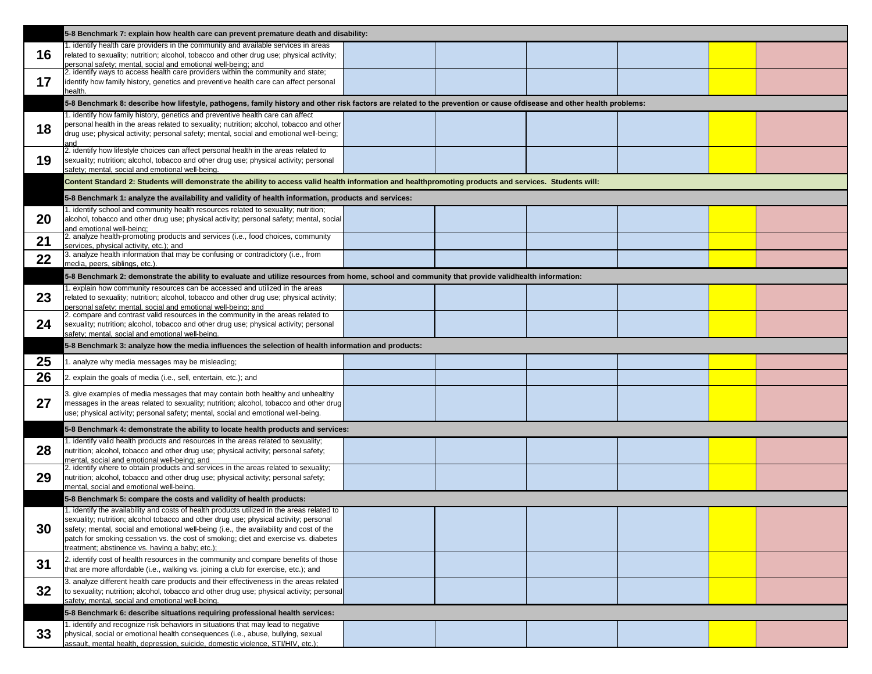|    | 5-8 Benchmark 7: explain how health care can prevent premature death and disability:                                                                                                                                                                                                                                                                                                                                    |  |  |
|----|-------------------------------------------------------------------------------------------------------------------------------------------------------------------------------------------------------------------------------------------------------------------------------------------------------------------------------------------------------------------------------------------------------------------------|--|--|
| 16 | 1. identify health care providers in the community and available services in areas<br>related to sexuality; nutrition; alcohol, tobacco and other drug use; physical activity;<br>personal safety; mental, social and emotional well-being; and                                                                                                                                                                         |  |  |
| 17 | 2. identify ways to access health care providers within the community and state;<br>identify how family history, genetics and preventive health care can affect personal<br>health.                                                                                                                                                                                                                                     |  |  |
|    | 5-8 Benchmark 8: describe how lifestyle, pathogens, family history and other risk factors are related to the prevention or cause ofdisease and other health problems:                                                                                                                                                                                                                                                   |  |  |
| 18 | 1. identify how family history, genetics and preventive health care can affect<br>personal health in the areas related to sexuality; nutrition; alcohol, tobacco and other<br>drug use; physical activity; personal safety; mental, social and emotional well-being;<br>and                                                                                                                                             |  |  |
| 19 | 2. identify how lifestyle choices can affect personal health in the areas related to<br>sexuality; nutrition; alcohol, tobacco and other drug use; physical activity; personal<br>safety; mental, social and emotional well-being.                                                                                                                                                                                      |  |  |
|    | Content Standard 2: Students will demonstrate the ability to access valid health information and healthpromoting products and services. Students will:                                                                                                                                                                                                                                                                  |  |  |
|    | 5-8 Benchmark 1: analyze the availability and validity of health information, products and services:                                                                                                                                                                                                                                                                                                                    |  |  |
| 20 | 1. identify school and community health resources related to sexuality; nutrition;<br>alcohol, tobacco and other drug use; physical activity; personal safety; mental, social<br>and emotional well-being:                                                                                                                                                                                                              |  |  |
| 21 | 2. analyze health-promoting products and services (i.e., food choices, community<br>services, physical activity, etc.); and                                                                                                                                                                                                                                                                                             |  |  |
| 22 | 3. analyze health information that may be confusing or contradictory (i.e., from<br>media, peers, siblings, etc.).                                                                                                                                                                                                                                                                                                      |  |  |
|    | 5-8 Benchmark 2: demonstrate the ability to evaluate and utilize resources from home, school and community that provide validhealth information:                                                                                                                                                                                                                                                                        |  |  |
| 23 | 1. explain how community resources can be accessed and utilized in the areas<br>related to sexuality; nutrition; alcohol, tobacco and other drug use; physical activity;<br>personal safety; mental, social and emotional well-being; and                                                                                                                                                                               |  |  |
| 24 | 2. compare and contrast valid resources in the community in the areas related to<br>sexuality; nutrition; alcohol, tobacco and other drug use; physical activity; personal<br>safety; mental, social and emotional well-being.                                                                                                                                                                                          |  |  |
|    | 5-8 Benchmark 3: analyze how the media influences the selection of health information and products:                                                                                                                                                                                                                                                                                                                     |  |  |
|    |                                                                                                                                                                                                                                                                                                                                                                                                                         |  |  |
| 25 | 1. analyze why media messages may be misleading;                                                                                                                                                                                                                                                                                                                                                                        |  |  |
| 26 | 2. explain the goals of media (i.e., sell, entertain, etc.); and                                                                                                                                                                                                                                                                                                                                                        |  |  |
| 27 | 3. give examples of media messages that may contain both healthy and unhealthy<br>messages in the areas related to sexuality; nutrition; alcohol, tobacco and other drug<br>use; physical activity; personal safety; mental, social and emotional well-being.                                                                                                                                                           |  |  |
|    | 5-8 Benchmark 4: demonstrate the ability to locate health products and services:                                                                                                                                                                                                                                                                                                                                        |  |  |
| 28 | 1. identify valid health products and resources in the areas related to sexuality;<br>nutrition; alcohol, tobacco and other drug use; physical activity; personal safety;<br>mental, social and emotional well-being; and                                                                                                                                                                                               |  |  |
| 29 | 2. identify where to obtain products and services in the areas related to sexuality;<br>nutrition; alcohol, tobacco and other drug use; physical activity; personal safety;<br>mental, social and emotional well-being.                                                                                                                                                                                                 |  |  |
|    | 5-8 Benchmark 5: compare the costs and validity of health products:                                                                                                                                                                                                                                                                                                                                                     |  |  |
| 30 | . identify the availability and costs of health products utilized in the areas related to<br>sexuality; nutrition; alcohol tobacco and other drug use; physical activity; personal<br>safety; mental, social and emotional well-being (i.e., the availability and cost of the<br>patch for smoking cessation vs. the cost of smoking; diet and exercise vs. diabetes<br>treatment: abstinence vs. having a baby: etc.): |  |  |
| 31 | 2. identify cost of health resources in the community and compare benefits of those<br>that are more affordable (i.e., walking vs. joining a club for exercise, etc.); and                                                                                                                                                                                                                                              |  |  |
| 32 | 3. analyze different health care products and their effectiveness in the areas related<br>to sexuality; nutrition; alcohol, tobacco and other drug use; physical activity; personal<br>safety; mental, social and emotional well-being.                                                                                                                                                                                 |  |  |
|    | 5-8 Benchmark 6: describe situations requiring professional health services:                                                                                                                                                                                                                                                                                                                                            |  |  |

| h problems: |  |  |  |  |
|-------------|--|--|--|--|
|             |  |  |  |  |
|             |  |  |  |  |
|             |  |  |  |  |
|             |  |  |  |  |
|             |  |  |  |  |
|             |  |  |  |  |
|             |  |  |  |  |
|             |  |  |  |  |
|             |  |  |  |  |
|             |  |  |  |  |
|             |  |  |  |  |
|             |  |  |  |  |
|             |  |  |  |  |
|             |  |  |  |  |
|             |  |  |  |  |
|             |  |  |  |  |
|             |  |  |  |  |
|             |  |  |  |  |
|             |  |  |  |  |
|             |  |  |  |  |
|             |  |  |  |  |
|             |  |  |  |  |
|             |  |  |  |  |
|             |  |  |  |  |
|             |  |  |  |  |
|             |  |  |  |  |
|             |  |  |  |  |
|             |  |  |  |  |
|             |  |  |  |  |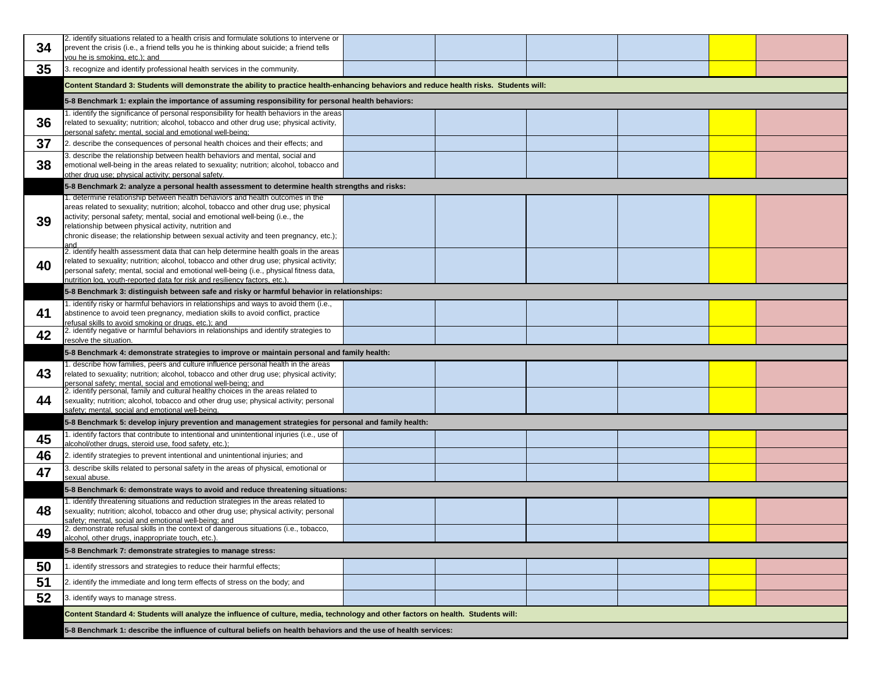| 34 | 2. identify situations related to a health crisis and formulate solutions to intervene or<br>prevent the crisis (i.e., a friend tells you he is thinking about suicide; a friend tells<br>you he is smoking, etc.); and                                                                                                                                                                                        |  |  |  |  |  |  |
|----|----------------------------------------------------------------------------------------------------------------------------------------------------------------------------------------------------------------------------------------------------------------------------------------------------------------------------------------------------------------------------------------------------------------|--|--|--|--|--|--|
| 35 | 3. recognize and identify professional health services in the community.                                                                                                                                                                                                                                                                                                                                       |  |  |  |  |  |  |
|    | Content Standard 3: Students will demonstrate the ability to practice health-enhancing behaviors and reduce health risks. Students will:                                                                                                                                                                                                                                                                       |  |  |  |  |  |  |
|    | 5-8 Benchmark 1: explain the importance of assuming responsibility for personal health behaviors:                                                                                                                                                                                                                                                                                                              |  |  |  |  |  |  |
| 36 | 1. identify the significance of personal responsibility for health behaviors in the areas<br>related to sexuality; nutrition; alcohol, tobacco and other drug use; physical activity,<br>personal safety; mental, social and emotional well-being;                                                                                                                                                             |  |  |  |  |  |  |
| 37 | 2. describe the consequences of personal health choices and their effects; and                                                                                                                                                                                                                                                                                                                                 |  |  |  |  |  |  |
| 38 | 3. describe the relationship between health behaviors and mental, social and<br>emotional well-being in the areas related to sexuality; nutrition; alcohol, tobacco and<br>other drug use; physical activity; personal safety.                                                                                                                                                                                 |  |  |  |  |  |  |
|    | 5-8 Benchmark 2: analyze a personal health assessment to determine health strengths and risks:                                                                                                                                                                                                                                                                                                                 |  |  |  |  |  |  |
| 39 | I. determine relationship between health behaviors and health outcomes in the<br>areas related to sexuality; nutrition; alcohol, tobacco and other drug use; physical<br>activity; personal safety; mental, social and emotional well-being (i.e., the<br>relationship between physical activity, nutrition and<br>chronic disease; the relationship between sexual activity and teen pregnancy, etc.);<br>and |  |  |  |  |  |  |
| 40 | 2. identify health assessment data that can help determine health goals in the areas<br>related to sexuality; nutrition; alcohol, tobacco and other drug use; physical activity;<br>personal safety; mental, social and emotional well-being (i.e., physical fitness data,<br>nutrition log, youth-reported data for risk and resiliency factors, etc.).                                                       |  |  |  |  |  |  |
|    | 5-8 Benchmark 3: distinguish between safe and risky or harmful behavior in relationships:                                                                                                                                                                                                                                                                                                                      |  |  |  |  |  |  |
| 41 | 1. identify risky or harmful behaviors in relationships and ways to avoid them (i.e.,<br>abstinence to avoid teen pregnancy, mediation skills to avoid conflict, practice<br>refusal skills to avoid smoking or drugs, etc.); and                                                                                                                                                                              |  |  |  |  |  |  |
| 42 | 2. identify negative or harmful behaviors in relationships and identify strategies to<br>resolve the situation.                                                                                                                                                                                                                                                                                                |  |  |  |  |  |  |
|    | 5-8 Benchmark 4: demonstrate strategies to improve or maintain personal and family health:                                                                                                                                                                                                                                                                                                                     |  |  |  |  |  |  |
| 43 | 1. describe how families, peers and culture influence personal health in the areas<br>related to sexuality; nutrition; alcohol, tobacco and other drug use; physical activity;<br>personal safety; mental, social and emotional well-being; and                                                                                                                                                                |  |  |  |  |  |  |
| 44 | 2. identify personal, family and cultural healthy choices in the areas related to<br>sexuality; nutrition; alcohol, tobacco and other drug use; physical activity; personal<br>safety; mental, social and emotional well-being.                                                                                                                                                                                |  |  |  |  |  |  |
|    | 5-8 Benchmark 5: develop injury prevention and management strategies for personal and family health:                                                                                                                                                                                                                                                                                                           |  |  |  |  |  |  |
| 45 | 1. identify factors that contribute to intentional and unintentional injuries (i.e., use of<br>alcohol/other drugs, steroid use, food safety, etc.);                                                                                                                                                                                                                                                           |  |  |  |  |  |  |
| 46 | 2. identify strategies to prevent intentional and unintentional injuries; and                                                                                                                                                                                                                                                                                                                                  |  |  |  |  |  |  |
| 47 | 3. describe skills related to personal safety in the areas of physical, emotional or<br>sexual abuse.                                                                                                                                                                                                                                                                                                          |  |  |  |  |  |  |
|    | 5-8 Benchmark 6: demonstrate ways to avoid and reduce threatening situations:                                                                                                                                                                                                                                                                                                                                  |  |  |  |  |  |  |
| 48 | 1. identify threatening situations and reduction strategies in the areas related to<br>sexuality; nutrition; alcohol, tobacco and other drug use; physical activity; personal<br>safety; mental, social and emotional well-being; and                                                                                                                                                                          |  |  |  |  |  |  |
| 49 | 2. demonstrate refusal skills in the context of dangerous situations (i.e., tobacco,<br>alcohol, other drugs, inappropriate touch, etc.).                                                                                                                                                                                                                                                                      |  |  |  |  |  |  |
|    | 5-8 Benchmark 7: demonstrate strategies to manage stress:                                                                                                                                                                                                                                                                                                                                                      |  |  |  |  |  |  |
| 50 | . identify stressors and strategies to reduce their harmful effects;                                                                                                                                                                                                                                                                                                                                           |  |  |  |  |  |  |
| 51 | 2. identify the immediate and long term effects of stress on the body; and                                                                                                                                                                                                                                                                                                                                     |  |  |  |  |  |  |
| 52 | 3. identify ways to manage stress.                                                                                                                                                                                                                                                                                                                                                                             |  |  |  |  |  |  |
|    | Content Standard 4: Students will analyze the influence of culture, media, technology and other factors on health. Students will:                                                                                                                                                                                                                                                                              |  |  |  |  |  |  |
|    | 5-8 Benchmark 1: describe the influence of cultural beliefs on health behaviors and the use of health services:                                                                                                                                                                                                                                                                                                |  |  |  |  |  |  |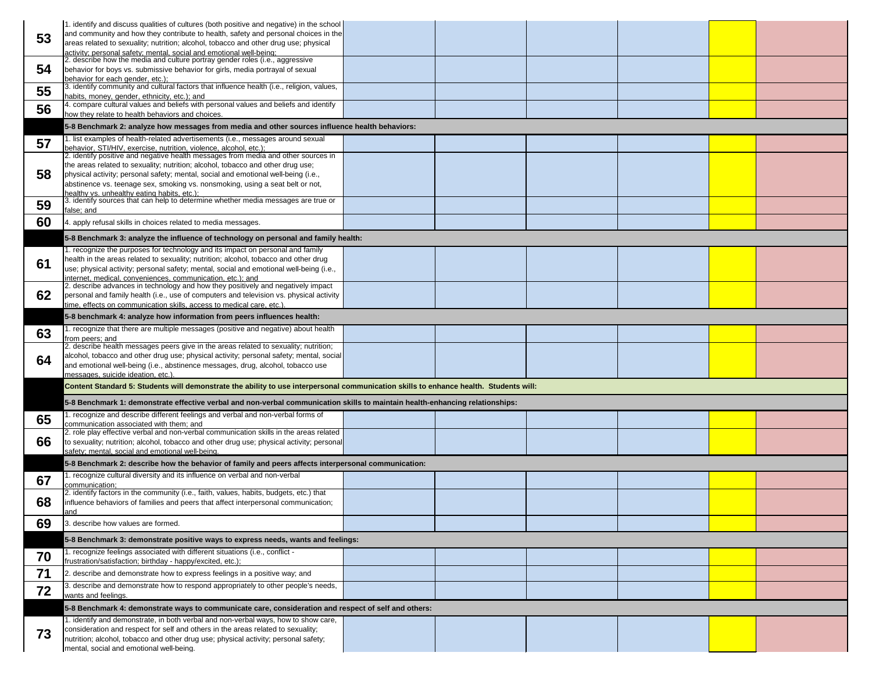| 53 | 1. identify and discuss qualities of cultures (both positive and negative) in the school<br>and community and how they contribute to health, safety and personal choices in the<br>areas related to sexuality; nutrition; alcohol, tobacco and other drug use; physical                                                                                                                    |  |  |
|----|--------------------------------------------------------------------------------------------------------------------------------------------------------------------------------------------------------------------------------------------------------------------------------------------------------------------------------------------------------------------------------------------|--|--|
| 54 | activity; personal safety; mental, social and emotional well-being;<br>2. describe how the media and culture portray gender roles (i.e., aggressive<br>behavior for boys vs. submissive behavior for girls, media portrayal of sexual                                                                                                                                                      |  |  |
| 55 | behavior for each gender, etc.);<br>3. identify community and cultural factors that influence health (i.e., religion, values,                                                                                                                                                                                                                                                              |  |  |
| 56 | habits, money, gender, ethnicity, etc.); and<br>4. compare cultural values and beliefs with personal values and beliefs and identify                                                                                                                                                                                                                                                       |  |  |
|    | how they relate to health behaviors and choices.                                                                                                                                                                                                                                                                                                                                           |  |  |
|    | 5-8 Benchmark 2: analyze how messages from media and other sources influence health behaviors:<br>1. list examples of health-related advertisements (i.e., messages around sexual                                                                                                                                                                                                          |  |  |
| 57 | behavior, STI/HIV, exercise, nutrition, violence, alcohol, etc.);                                                                                                                                                                                                                                                                                                                          |  |  |
| 58 | 2. identify positive and negative health messages from media and other sources in<br>the areas related to sexuality; nutrition; alcohol, tobacco and other drug use;<br>physical activity; personal safety; mental, social and emotional well-being (i.e.,<br>abstinence vs. teenage sex, smoking vs. nonsmoking, using a seat belt or not,<br>healthy vs. unhealthy eating habits, etc.): |  |  |
| 59 | 3. identify sources that can help to determine whether media messages are true or<br>false; and                                                                                                                                                                                                                                                                                            |  |  |
| 60 | 4. apply refusal skills in choices related to media messages.                                                                                                                                                                                                                                                                                                                              |  |  |
|    | 5-8 Benchmark 3: analyze the influence of technology on personal and family health:                                                                                                                                                                                                                                                                                                        |  |  |
|    | 1. recognize the purposes for technology and its impact on personal and family                                                                                                                                                                                                                                                                                                             |  |  |
| 61 | health in the areas related to sexuality; nutrition; alcohol, tobacco and other drug<br>use; physical activity; personal safety; mental, social and emotional well-being (i.e.,                                                                                                                                                                                                            |  |  |
|    | internet, medical, conveniences, communication, etc.); and                                                                                                                                                                                                                                                                                                                                 |  |  |
| 62 | 2. describe advances in technology and how they positively and negatively impact<br>personal and family health (i.e., use of computers and television vs. physical activity                                                                                                                                                                                                                |  |  |
|    | time, effects on communication skills, access to medical care, etc.)                                                                                                                                                                                                                                                                                                                       |  |  |
|    | 5-8 benchmark 4: analyze how information from peers influences health:                                                                                                                                                                                                                                                                                                                     |  |  |
| 63 | 1. recognize that there are multiple messages (positive and negative) about health<br>from peers; and                                                                                                                                                                                                                                                                                      |  |  |
|    |                                                                                                                                                                                                                                                                                                                                                                                            |  |  |
|    | 2. describe health messages peers give in the areas related to sexuality; nutrition;                                                                                                                                                                                                                                                                                                       |  |  |
| 64 | alcohol, tobacco and other drug use; physical activity; personal safety; mental, social<br>and emotional well-being (i.e., abstinence messages, drug, alcohol, tobacco use                                                                                                                                                                                                                 |  |  |
|    | messages, suicide ideation, etc.).<br>Content Standard 5: Students will demonstrate the ability to use interpersonal communication skills to enhance health. Students will:                                                                                                                                                                                                                |  |  |
|    | 5-8 Benchmark 1: demonstrate effective verbal and non-verbal communication skills to maintain health-enhancing relationships:                                                                                                                                                                                                                                                              |  |  |
|    | 1. recognize and describe different feelings and verbal and non-verbal forms of                                                                                                                                                                                                                                                                                                            |  |  |
| 65 | communication associated with them; and                                                                                                                                                                                                                                                                                                                                                    |  |  |
| 66 | 2. role play effective verbal and non-verbal communication skills in the areas related<br>to sexuality; nutrition; alcohol, tobacco and other drug use; physical activity; personal                                                                                                                                                                                                        |  |  |
|    | safety; mental, social and emotional well-being.                                                                                                                                                                                                                                                                                                                                           |  |  |
|    | 5-8 Benchmark 2: describe how the behavior of family and peers affects interpersonal communication:                                                                                                                                                                                                                                                                                        |  |  |
| 67 | 1. recognize cultural diversity and its influence on verbal and non-verbal<br>communication;                                                                                                                                                                                                                                                                                               |  |  |
| 68 | 2. identify factors in the community (i.e., faith, values, habits, budgets, etc.) that<br>influence behaviors of families and peers that affect interpersonal communication;<br>and                                                                                                                                                                                                        |  |  |
| 69 | 3. describe how values are formed.                                                                                                                                                                                                                                                                                                                                                         |  |  |
|    | 5-8 Benchmark 3: demonstrate positive ways to express needs, wants and feelings:                                                                                                                                                                                                                                                                                                           |  |  |
| 70 | 1. recognize feelings associated with different situations (i.e., conflict -                                                                                                                                                                                                                                                                                                               |  |  |
| 71 | frustration/satisfaction; birthday - happy/excited, etc.);<br>2. describe and demonstrate how to express feelings in a positive way; and                                                                                                                                                                                                                                                   |  |  |
| 72 | 3. describe and demonstrate how to respond appropriately to other people's needs,<br>wants and feelings.                                                                                                                                                                                                                                                                                   |  |  |
|    | 5-8 Benchmark 4: demonstrate ways to communicate care, consideration and respect of self and others:                                                                                                                                                                                                                                                                                       |  |  |
|    | 1. identify and demonstrate, in both verbal and non-verbal ways, how to show care,                                                                                                                                                                                                                                                                                                         |  |  |
| 73 | consideration and respect for self and others in the areas related to sexuality;<br>nutrition; alcohol, tobacco and other drug use; physical activity; personal safety;                                                                                                                                                                                                                    |  |  |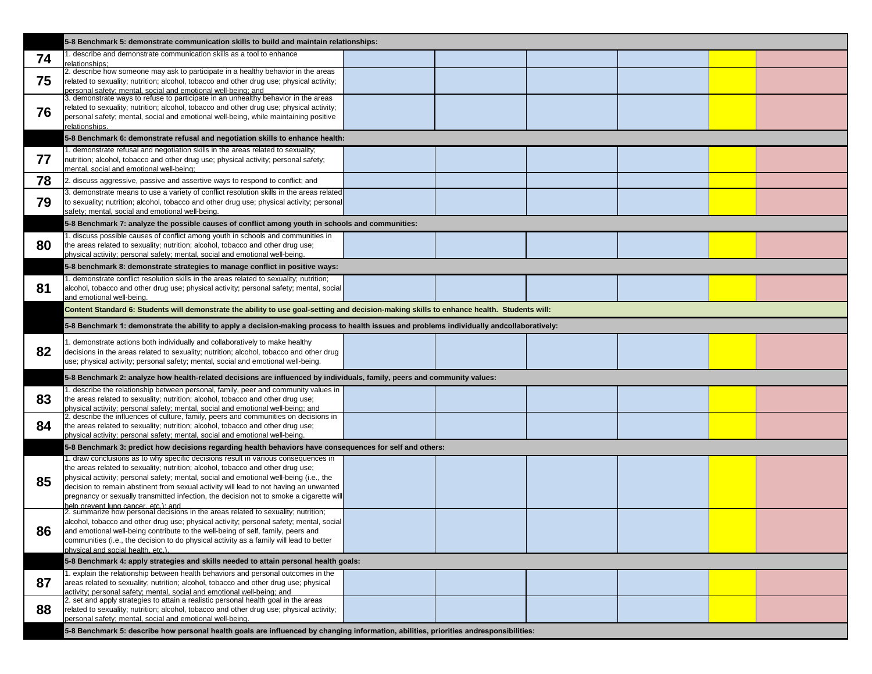|    | 5-8 Benchmark 5: demonstrate communication skills to build and maintain relationships:                                                                                                                                                                                                                                                                                                                                                              |  |  |
|----|-----------------------------------------------------------------------------------------------------------------------------------------------------------------------------------------------------------------------------------------------------------------------------------------------------------------------------------------------------------------------------------------------------------------------------------------------------|--|--|
| 74 | 1. describe and demonstrate communication skills as a tool to enhance<br>relationships;                                                                                                                                                                                                                                                                                                                                                             |  |  |
| 75 | 2. describe how someone may ask to participate in a healthy behavior in the areas<br>related to sexuality; nutrition; alcohol, tobacco and other drug use; physical activity;<br>personal safety; mental, social and emotional well-being; and                                                                                                                                                                                                      |  |  |
| 76 | 3. demonstrate ways to refuse to participate in an unhealthy behavior in the areas<br>related to sexuality; nutrition; alcohol, tobacco and other drug use; physical activity;<br>personal safety; mental, social and emotional well-being, while maintaining positive<br>relationships.                                                                                                                                                            |  |  |
|    | 5-8 Benchmark 6: demonstrate refusal and negotiation skills to enhance health:                                                                                                                                                                                                                                                                                                                                                                      |  |  |
| 77 | 1. demonstrate refusal and negotiation skills in the areas related to sexuality;<br>nutrition; alcohol, tobacco and other drug use; physical activity; personal safety;<br>mental, social and emotional well-being;                                                                                                                                                                                                                                 |  |  |
| 78 | 2. discuss aggressive, passive and assertive ways to respond to conflict; and                                                                                                                                                                                                                                                                                                                                                                       |  |  |
| 79 | 3. demonstrate means to use a variety of conflict resolution skills in the areas related<br>to sexuality; nutrition; alcohol, tobacco and other drug use; physical activity; personal<br>safety; mental, social and emotional well-being.                                                                                                                                                                                                           |  |  |
|    | 5-8 Benchmark 7: analyze the possible causes of conflict among youth in schools and communities:                                                                                                                                                                                                                                                                                                                                                    |  |  |
| 80 | 1. discuss possible causes of conflict among youth in schools and communities in<br>the areas related to sexuality; nutrition; alcohol, tobacco and other drug use;<br>physical activity; personal safety; mental, social and emotional well-being.                                                                                                                                                                                                 |  |  |
|    | 5-8 benchmark 8: demonstrate strategies to manage conflict in positive ways:                                                                                                                                                                                                                                                                                                                                                                        |  |  |
| 81 | 1. demonstrate conflict resolution skills in the areas related to sexuality; nutrition;<br>alcohol, tobacco and other drug use; physical activity; personal safety; mental, social<br>and emotional well-being.                                                                                                                                                                                                                                     |  |  |
|    | Content Standard 6: Students will demonstrate the ability to use goal-setting and decision-making skills to enhance health. Students will:                                                                                                                                                                                                                                                                                                          |  |  |
|    | 5-8 Benchmark 1: demonstrate the ability to apply a decision-making process to health issues and problems individually andcollaboratively:                                                                                                                                                                                                                                                                                                          |  |  |
| 82 | 1. demonstrate actions both individually and collaboratively to make healthy<br>decisions in the areas related to sexuality; nutrition; alcohol, tobacco and other drug<br>use; physical activity; personal safety; mental, social and emotional well-being.                                                                                                                                                                                        |  |  |
|    | 5-8 Benchmark 2: analyze how health-related decisions are influenced by individuals, family, peers and community values:                                                                                                                                                                                                                                                                                                                            |  |  |
| 83 | 1. describe the relationship between personal, family, peer and community values in<br>the areas related to sexuality; nutrition; alcohol, tobacco and other drug use;<br>physical activity; personal safety; mental, social and emotional well-being; and                                                                                                                                                                                          |  |  |
| 84 | 2. describe the influences of culture, family, peers and communities on decisions in<br>the areas related to sexuality; nutrition; alcohol, tobacco and other drug use;<br>physical activity; personal safety; mental, social and emotional well-being.                                                                                                                                                                                             |  |  |
|    | 5-8 Benchmark 3: predict how decisions regarding health behaviors have consequences for self and others:                                                                                                                                                                                                                                                                                                                                            |  |  |
| 85 | 1. draw conclusions as to why specific decisions result in various consequences in<br>the areas related to sexuality; nutrition; alcohol, tobacco and other drug use;<br>physical activity; personal safety; mental, social and emotional well-being (i.e., the<br>decision to remain abstinent from sexual activity will lead to not having an unwanted<br>pregnancy or sexually transmitted infection, the decision not to smoke a cigarette will |  |  |
| 86 | help prevent lung cancer, etc.): and<br>2. summarize how personal decisions in the areas related to sexuality; nutrition;<br>alcohol, tobacco and other drug use; physical activity; personal safety; mental, social<br>and emotional well-being contribute to the well-being of self, family, peers and<br>communities (i.e., the decision to do physical activity as a family will lead to better<br>physical and social health. etc.).           |  |  |
|    | 5-8 Benchmark 4: apply strategies and skills needed to attain personal health goals:                                                                                                                                                                                                                                                                                                                                                                |  |  |
|    | 1. explain the relationship between health behaviors and personal outcomes in the                                                                                                                                                                                                                                                                                                                                                                   |  |  |
| 87 | areas related to sexuality; nutrition; alcohol, tobacco and other drug use; physical<br>activity: personal safety: mental, social and emotional well-being: and                                                                                                                                                                                                                                                                                     |  |  |
| 88 | 2. set and apply strategies to attain a realistic personal health goal in the areas<br>related to sexuality; nutrition; alcohol, tobacco and other drug use; physical activity;<br>personal safety; mental, social and emotional well-being.                                                                                                                                                                                                        |  |  |
|    | 5-8 Benchmark 5: describe how personal health goals are influenced by changing information, abilities, priorities andresponsibilities:                                                                                                                                                                                                                                                                                                              |  |  |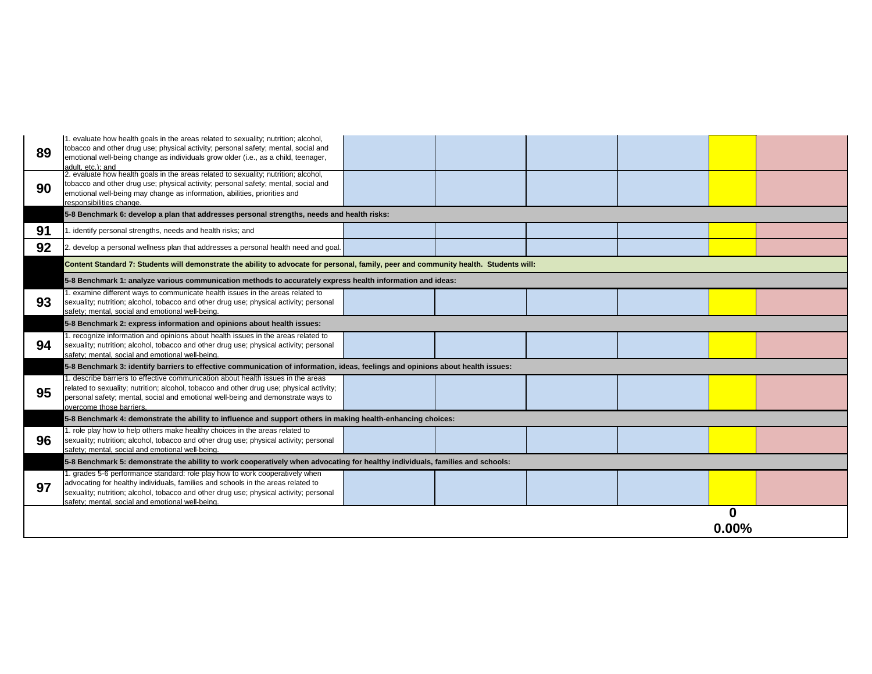| 89 | 1. evaluate how health goals in the areas related to sexuality; nutrition; alcohol,<br>tobacco and other drug use; physical activity; personal safety; mental, social and<br>emotional well-being change as individuals grow older (i.e., as a child, teenager,<br>adult, etc.); and                           |  |  |
|----|----------------------------------------------------------------------------------------------------------------------------------------------------------------------------------------------------------------------------------------------------------------------------------------------------------------|--|--|
| 90 | 2. evaluate how health goals in the areas related to sexuality; nutrition; alcohol,<br>tobacco and other drug use; physical activity; personal safety; mental, social and<br>emotional well-being may change as information, abilities, priorities and<br>responsibilities change.                             |  |  |
|    | 5-8 Benchmark 6: develop a plan that addresses personal strengths, needs and health risks:                                                                                                                                                                                                                     |  |  |
| 91 | 1. identify personal strengths, needs and health risks; and                                                                                                                                                                                                                                                    |  |  |
| 92 | 2. develop a personal wellness plan that addresses a personal health need and goal.                                                                                                                                                                                                                            |  |  |
|    | Content Standard 7: Students will demonstrate the ability to advocate for personal, family, peer and community health. Students will:                                                                                                                                                                          |  |  |
|    | 5-8 Benchmark 1: analyze various communication methods to accurately express health information and ideas:                                                                                                                                                                                                     |  |  |
| 93 | 1. examine different ways to communicate health issues in the areas related to<br>sexuality; nutrition; alcohol, tobacco and other drug use; physical activity; personal<br>safety; mental, social and emotional well-being.                                                                                   |  |  |
|    | 5-8 Benchmark 2: express information and opinions about health issues:                                                                                                                                                                                                                                         |  |  |
| 94 | 1. recognize information and opinions about health issues in the areas related to<br>sexuality; nutrition; alcohol, tobacco and other drug use; physical activity; personal<br>safety; mental, social and emotional well-being.                                                                                |  |  |
|    | 5-8 Benchmark 3: identify barriers to effective communication of information, ideas, feelings and opinions about health issues:                                                                                                                                                                                |  |  |
| 95 | 1. describe barriers to effective communication about health issues in the areas<br>related to sexuality; nutrition; alcohol, tobacco and other drug use; physical activity;<br>personal safety; mental, social and emotional well-being and demonstrate ways to<br>overcome those barriers.                   |  |  |
|    | 5-8 Benchmark 4: demonstrate the ability to influence and support others in making health-enhancing choices:                                                                                                                                                                                                   |  |  |
| 96 | 1. role play how to help others make healthy choices in the areas related to<br>sexuality; nutrition; alcohol, tobacco and other drug use; physical activity; personal<br>safety; mental, social and emotional well-being.                                                                                     |  |  |
|    | 5-8 Benchmark 5: demonstrate the ability to work cooperatively when advocating for healthy individuals, families and schools:                                                                                                                                                                                  |  |  |
| 97 | 1. grades 5-6 performance standard: role play how to work cooperatively when<br>advocating for healthy individuals, families and schools in the areas related to<br>sexuality; nutrition; alcohol, tobacco and other drug use; physical activity; personal<br>safety; mental, social and emotional well-being. |  |  |
|    |                                                                                                                                                                                                                                                                                                                |  |  |

| $\begin{array}{c}\n0 \\ 0.00\% \n\end{array}$ |  |  |  |
|-----------------------------------------------|--|--|--|
|                                               |  |  |  |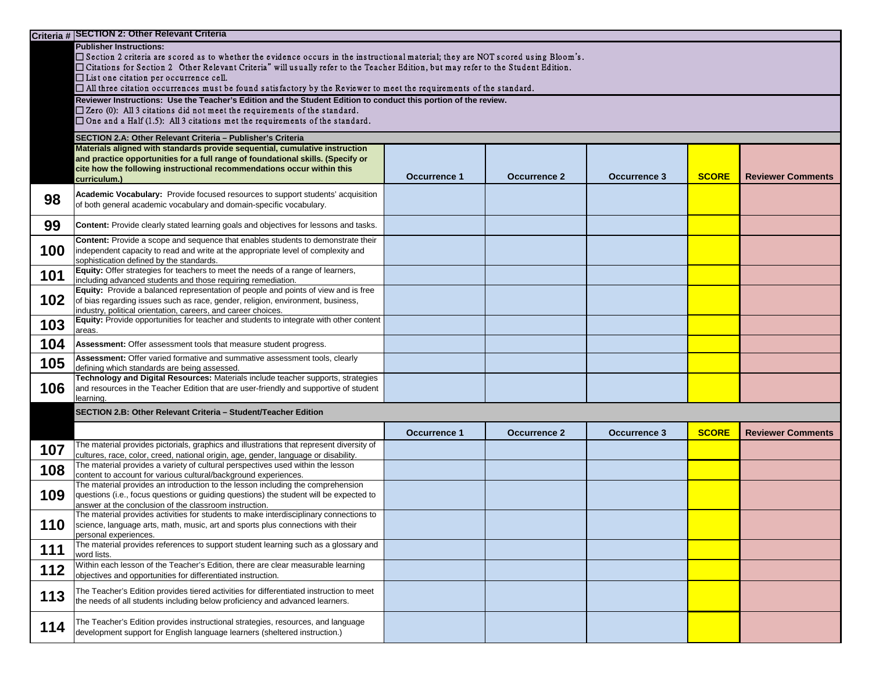|     | Criteria # SECTION 2: Other Relevant Criteria                                                                                                                                                                                                                                                                                                                                                                             |                     |                     |                     |              |                          |  |  |  |
|-----|---------------------------------------------------------------------------------------------------------------------------------------------------------------------------------------------------------------------------------------------------------------------------------------------------------------------------------------------------------------------------------------------------------------------------|---------------------|---------------------|---------------------|--------------|--------------------------|--|--|--|
|     | <b>Publisher Instructions:</b><br>$\square$ Section 2 criteria are scored as to whether the evidence occurs in the instructional material; they are NOT scored using Bloom's.<br>$\Box$ Citations for Section 2 Other Relevant Criteria" will usually refer to the Teacher Edition, but may refer to the Student Edition.<br>$\Box$ List one citation per occurrence cell.                                                |                     |                     |                     |              |                          |  |  |  |
|     | $\Box$ All three citation occurrences must be found satisfactory by the Reviewer to meet the requirements of the standard.<br>Reviewer Instructions: Use the Teacher's Edition and the Student Edition to conduct this portion of the review.<br>$\square$ Zero (0): All 3 citations did not meet the requirements of the standard.<br>$\Box$ One and a Half (1.5): All 3 citations met the requirements of the standard. |                     |                     |                     |              |                          |  |  |  |
|     | SECTION 2.A: Other Relevant Criteria - Publisher's Criteria                                                                                                                                                                                                                                                                                                                                                               |                     |                     |                     |              |                          |  |  |  |
|     | Materials aligned with standards provide sequential, cumulative instruction<br>and practice opportunities for a full range of foundational skills. (Specify or<br>cite how the following instructional recommendations occur within this<br>curriculum.)                                                                                                                                                                  | <b>Occurrence 1</b> | <b>Occurrence 2</b> | <b>Occurrence 3</b> | <b>SCORE</b> | <b>Reviewer Comments</b> |  |  |  |
| 98  | Academic Vocabulary: Provide focused resources to support students' acquisition<br>of both general academic vocabulary and domain-specific vocabulary.                                                                                                                                                                                                                                                                    |                     |                     |                     |              |                          |  |  |  |
| 99  | <b>Content:</b> Provide clearly stated learning goals and objectives for lessons and tasks.                                                                                                                                                                                                                                                                                                                               |                     |                     |                     |              |                          |  |  |  |
| 100 | Content: Provide a scope and sequence that enables students to demonstrate their<br>independent capacity to read and write at the appropriate level of complexity and<br>sophistication defined by the standards.                                                                                                                                                                                                         |                     |                     |                     |              |                          |  |  |  |
| 101 | Equity: Offer strategies for teachers to meet the needs of a range of learners,<br>including advanced students and those requiring remediation.                                                                                                                                                                                                                                                                           |                     |                     |                     |              |                          |  |  |  |
| 102 | <b>Equity:</b> Provide a balanced representation of people and points of view and is free<br>of bias regarding issues such as race, gender, religion, environment, business,<br>industry, political orientation, careers, and career choices.                                                                                                                                                                             |                     |                     |                     |              |                          |  |  |  |
| 103 | Equity: Provide opportunities for teacher and students to integrate with other content<br>areas.                                                                                                                                                                                                                                                                                                                          |                     |                     |                     |              |                          |  |  |  |
| 104 | Assessment: Offer assessment tools that measure student progress.                                                                                                                                                                                                                                                                                                                                                         |                     |                     |                     |              |                          |  |  |  |
| 105 | <b>Assessment:</b> Offer varied formative and summative assessment tools, clearly<br>defining which standards are being assessed.                                                                                                                                                                                                                                                                                         |                     |                     |                     |              |                          |  |  |  |
| 106 | Technology and Digital Resources: Materials include teacher supports, strategies<br>and resources in the Teacher Edition that are user-friendly and supportive of student<br>learning.                                                                                                                                                                                                                                    |                     |                     |                     |              |                          |  |  |  |
|     | SECTION 2.B: Other Relevant Criteria - Student/Teacher Edition                                                                                                                                                                                                                                                                                                                                                            |                     |                     |                     |              |                          |  |  |  |
|     |                                                                                                                                                                                                                                                                                                                                                                                                                           | <b>Occurrence 1</b> | <b>Occurrence 2</b> | <b>Occurrence 3</b> | <b>SCORE</b> | <b>Reviewer Comments</b> |  |  |  |
| 107 | The material provides pictorials, graphics and illustrations that represent diversity of<br>cultures, race, color, creed, national origin, age, gender, language or disability.                                                                                                                                                                                                                                           |                     |                     |                     |              |                          |  |  |  |
| 108 | The material provides a variety of cultural perspectives used within the lesson<br>content to account for various cultural/background experiences.                                                                                                                                                                                                                                                                        |                     |                     |                     |              |                          |  |  |  |
| 109 | The material provides an introduction to the lesson including the comprehension<br>questions (i.e., focus questions or guiding questions) the student will be expected to<br>answer at the conclusion of the classroom instruction.                                                                                                                                                                                       |                     |                     |                     |              |                          |  |  |  |
| 110 | The material provides activities for students to make interdisciplinary connections to<br>science, language arts, math, music, art and sports plus connections with their<br>personal experiences.                                                                                                                                                                                                                        |                     |                     |                     |              |                          |  |  |  |
| 111 | The material provides references to support student learning such as a glossary and<br>word lists.                                                                                                                                                                                                                                                                                                                        |                     |                     |                     |              |                          |  |  |  |
| 112 | Within each lesson of the Teacher's Edition, there are clear measurable learning<br>objectives and opportunities for differentiated instruction.                                                                                                                                                                                                                                                                          |                     |                     |                     |              |                          |  |  |  |
| 113 | The Teacher's Edition provides tiered activities for differentiated instruction to meet<br>the needs of all students including below proficiency and advanced learners.                                                                                                                                                                                                                                                   |                     |                     |                     |              |                          |  |  |  |
| 114 | The Teacher's Edition provides instructional strategies, resources, and language<br>development support for English language learners (sheltered instruction.)                                                                                                                                                                                                                                                            |                     |                     |                     |              |                          |  |  |  |

|  | <b>SCORE</b> | <b>Reviewer Comments</b> |  |  |
|--|--------------|--------------------------|--|--|
|  |              |                          |  |  |
|  |              |                          |  |  |
|  |              |                          |  |  |
|  |              |                          |  |  |
|  |              |                          |  |  |
|  |              |                          |  |  |
|  |              |                          |  |  |
|  |              |                          |  |  |
|  |              |                          |  |  |
|  |              |                          |  |  |
|  |              |                          |  |  |
|  |              |                          |  |  |
|  |              |                          |  |  |

| <b>SCORE</b> | <b>Reviewer Comments</b> |
|--------------|--------------------------|
|              |                          |
|              |                          |
|              |                          |
|              |                          |
|              |                          |
|              |                          |
|              |                          |
|              |                          |